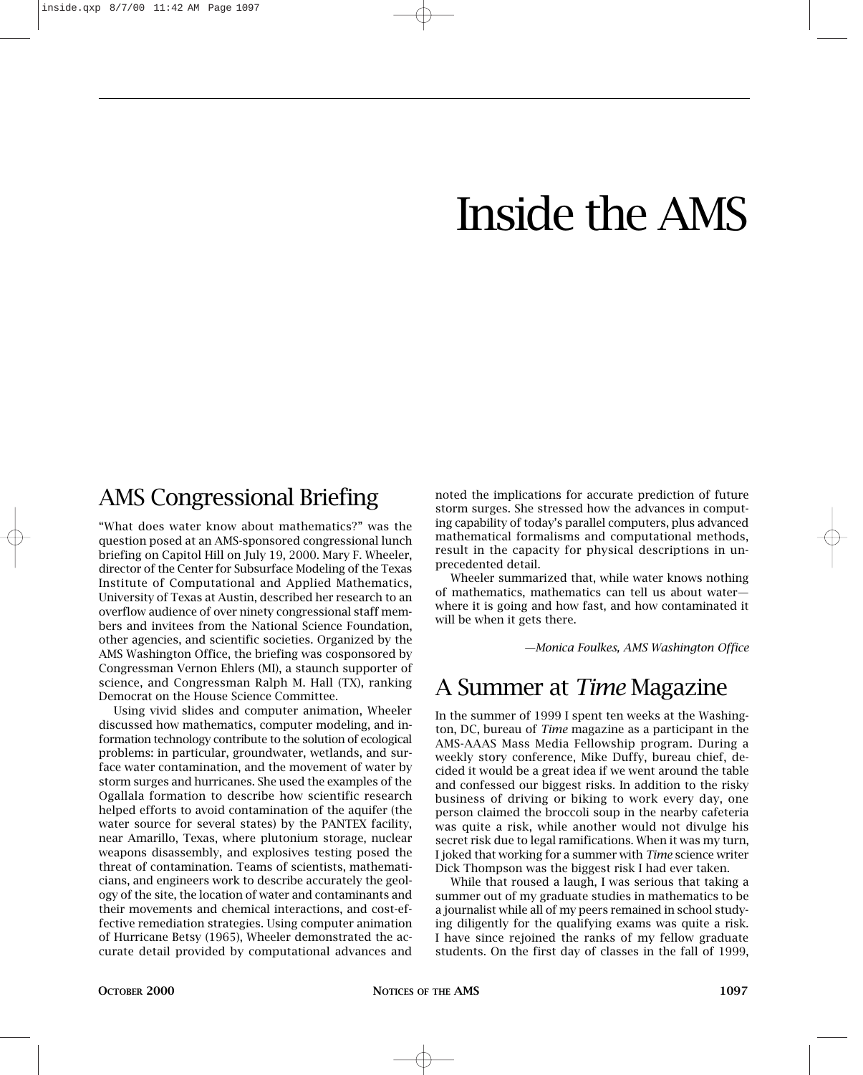## Inside the AMS

## AMS Congressional Briefing

"What does water know about mathematics?" was the question posed at an AMS-sponsored congressional lunch briefing on Capitol Hill on July 19, 2000. Mary F. Wheeler, director of the Center for Subsurface Modeling of the Texas Institute of Computational and Applied Mathematics, University of Texas at Austin, described her research to an overflow audience of over ninety congressional staff members and invitees from the National Science Foundation, other agencies, and scientific societies. Organized by the AMS Washington Office, the briefing was cosponsored by Congressman Vernon Ehlers (MI), a staunch supporter of science, and Congressman Ralph M. Hall (TX), ranking Democrat on the House Science Committee.

Using vivid slides and computer animation, Wheeler discussed how mathematics, computer modeling, and information technology contribute to the solution of ecological problems: in particular, groundwater, wetlands, and surface water contamination, and the movement of water by storm surges and hurricanes. She used the examples of the Ogallala formation to describe how scientific research helped efforts to avoid contamination of the aquifer (the water source for several states) by the PANTEX facility, near Amarillo, Texas, where plutonium storage, nuclear weapons disassembly, and explosives testing posed the threat of contamination. Teams of scientists, mathematicians, and engineers work to describe accurately the geology of the site, the location of water and contaminants and their movements and chemical interactions, and cost-effective remediation strategies. Using computer animation of Hurricane Betsy (1965), Wheeler demonstrated the accurate detail provided by computational advances and noted the implications for accurate prediction of future storm surges. She stressed how the advances in computing capability of today's parallel computers, plus advanced mathematical formalisms and computational methods, result in the capacity for physical descriptions in unprecedented detail.

Wheeler summarized that, while water knows nothing of mathematics, mathematics can tell us about water where it is going and how fast, and how contaminated it will be when it gets there.

*—Monica Foulkes, AMS Washington Office*

## A Summer at *Time* Magazine

In the summer of 1999 I spent ten weeks at the Washington, DC, bureau of *Time* magazine as a participant in the AMS-AAAS Mass Media Fellowship program. During a weekly story conference, Mike Duffy, bureau chief, decided it would be a great idea if we went around the table and confessed our biggest risks. In addition to the risky business of driving or biking to work every day, one person claimed the broccoli soup in the nearby cafeteria was quite a risk, while another would not divulge his secret risk due to legal ramifications. When it was my turn, I joked that working for a summer with *Time* science writer Dick Thompson was the biggest risk I had ever taken.

While that roused a laugh, I was serious that taking a summer out of my graduate studies in mathematics to be a journalist while all of my peers remained in school studying diligently for the qualifying exams was quite a risk. I have since rejoined the ranks of my fellow graduate students. On the first day of classes in the fall of 1999,